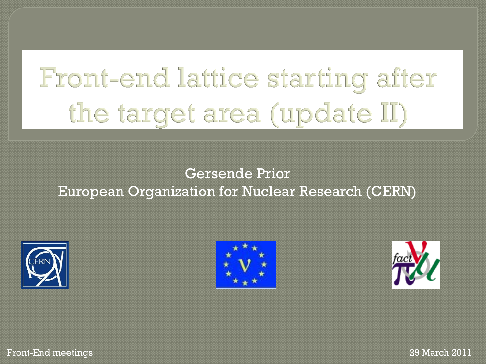# Front-end lattice starting after the target area (update II)

#### Gersende Prior European Organization for Nuclear Research (CERN)







Front-End meetings 29 March 2011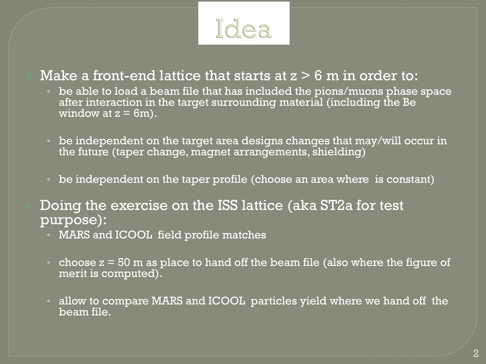

#### Make a front-end lattice that starts at  $z > 6$  m in order to:

- be able to load a beam file that has included the pions/muons phase space after interaction in the target surrounding material (including the Be window at  $z = 6m$ ).
- be independent on the target area designs changes that may/will occur in the future (taper change, magnet arrangements, shielding)
- be independent on the taper profile (choose an area where is constant)
- Doing the exercise on the ISS lattice (aka ST2a for test purpose):
	- MARS and ICOOL field profile matches
	- choose  $z = 50$  m as place to hand off the beam file (also where the figure of merit is computed).
	- allow to compare MARS and ICOOL particles yield where we hand off the beam file.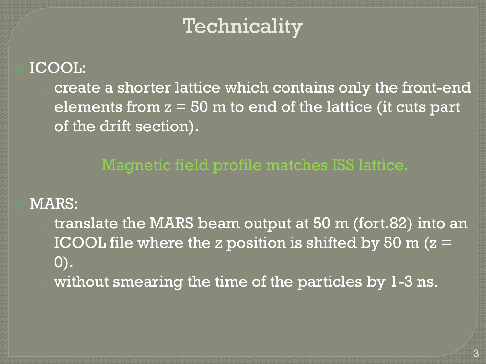# Technicality

#### ICOOL:

• create a shorter lattice which contains only the front-end elements from  $z = 50$  m to end of the lattice (it cuts part of the drift section).

Magnetic field profile matches ISS lattice.

#### MARS:

• translate the MARS beam output at 50 m (fort.82) into an ICOOL file where the z position is shifted by 50 m  $(z =$  $\vert 0)$ . without smearing the time of the particles by 1-3 ns.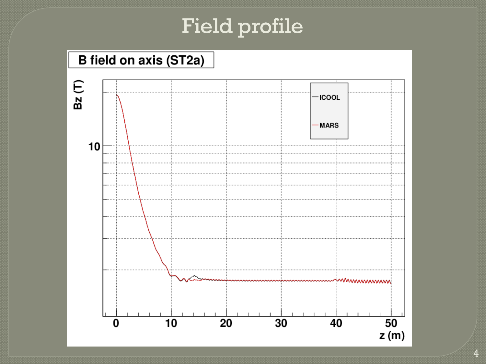## Field profile



4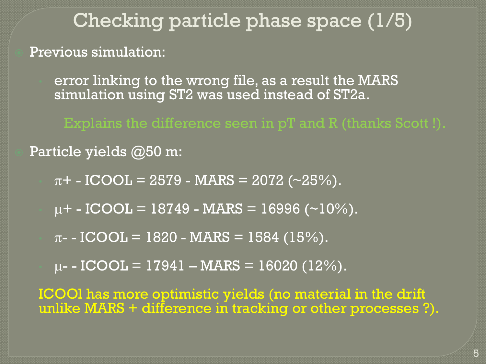# Checking particle phase space (1/5)

Previous simulation:

error linking to the wrong file, as a result the MARS simulation using ST2 was used instead of ST2a.

Explains the difference seen in pT and R (thanks Scott !).

#### Particle yields @50 m:

 $\pi$ + - ICOOL = 2579 - MARS = 2072 (~25%).

 $\mu$ + - ICOOL = 18749 - MARS = 16996 (~10%).

 $\pi$ - - ICOOL = 1820 - MARS = 1584 (15%).

 $\mu$ - - ICOOL = 17941 – MARS = 16020 (12%).

ICOOl has more optimistic yields (no material in the drift unlike MARS + difference in tracking or other processes ?).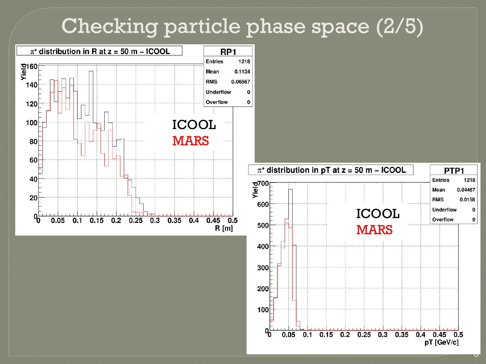### Checking particle phase space (2/5)





 $\cup$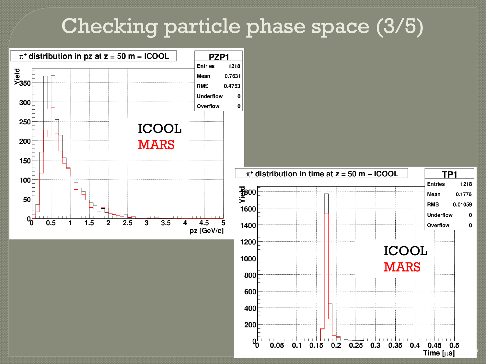### Checking particle phase space (3/5)

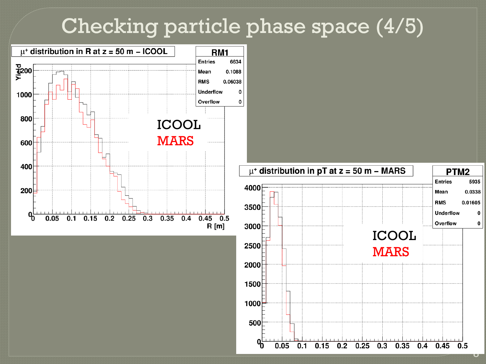### Checking particle phase space (4/5)



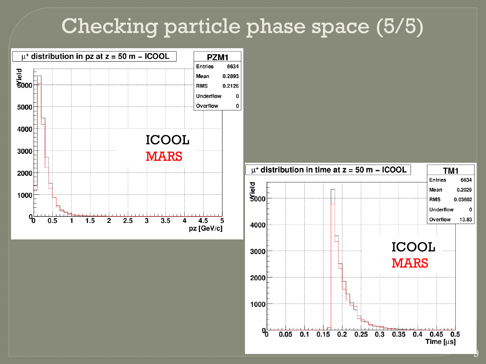### Checking particle phase space (5/5)





9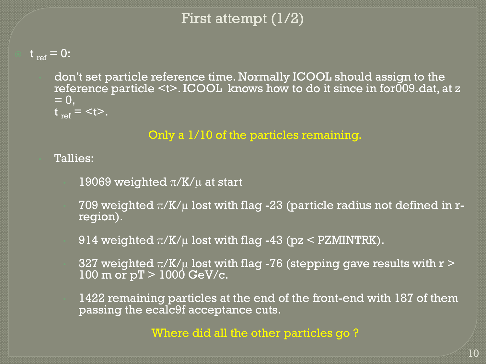#### First attempt (1/2)

 $t_{ref} = 0$ :

• don't set particle reference time. Normally ICOOL should assign to the reference particle <t>. ICOOL knows how to do it since in for009.dat, at z  $= 0$ ,  $t_{ref} =$ .

Only a 1/10 of the particles remaining.

• Tallies:

- 19069 weighted  $\pi/K/\mu$  at start
- 709 weighted  $\pi$ /K/ $\mu$  lost with flag -23 (particle radius not defined in rregion).
- 914 weighted  $\pi$ /K/ $\mu$  lost with flag -43 (pz < PZMINTRK).
- 327 weighted  $\pi$ /K/ $\mu$  lost with flag -76 (stepping gave results with r  $>$  $100 \text{ m or } pT > 1000 \text{ GeV/c}.$
- 1422 remaining particles at the end of the front-end with 187 of them passing the ecalc9f acceptance cuts.

Where did all the other particles go ?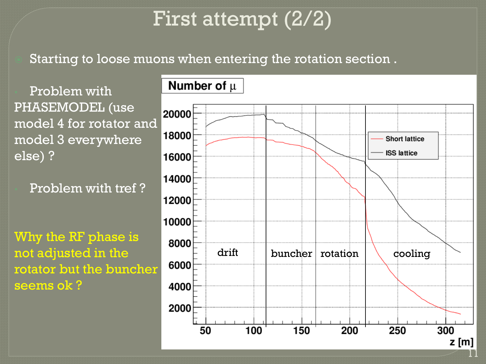# First attempt (2/2)

Starting to loose muons when entering the rotation section .

• Problem with PHASEMODEL (use model 4 for rotator and model 3 everywhere else) ?

• Problem with tref ?

Why the RF phase is not adjusted in the rotator but the buncher seems ok ?

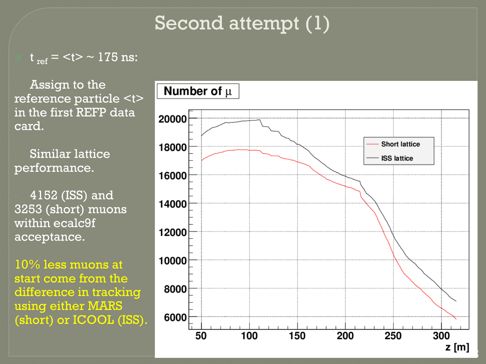### Second attempt (1)

 $\overline{\sigma_{\rm ref}}$  = <t>  $\sim$  175 ns:

• Assign to the reference particle <t> in the first REFP data card.

• Similar lattice performance.

• 4152 (ISS) and 3253 (short) muons within ecalc9f acceptance.

10% less muons at start come from the difference in tracking using either MARS (short) or ICOOL (ISS).